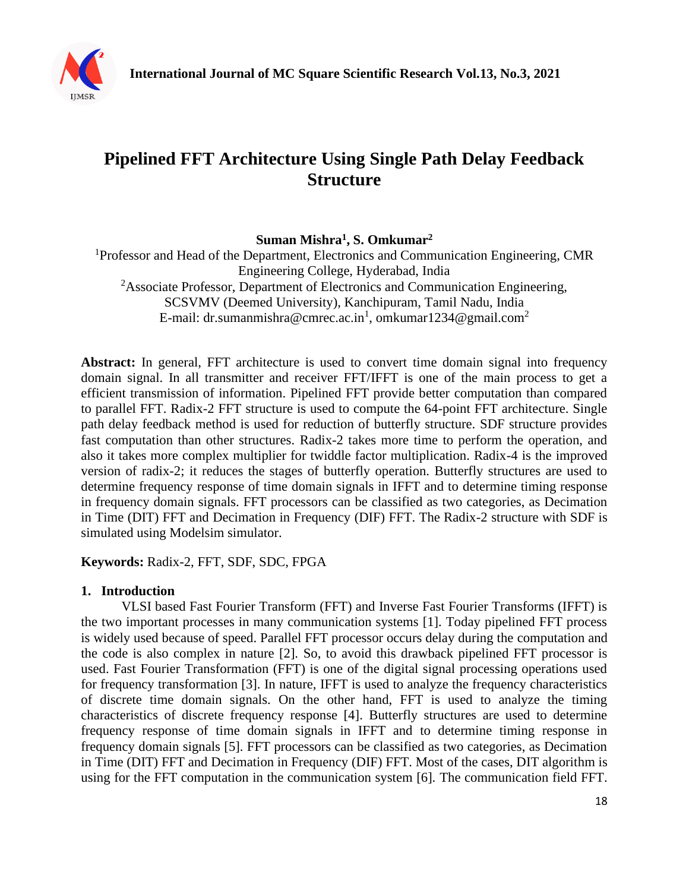

# **Pipelined FFT Architecture Using Single Path Delay Feedback Structure**

**Suman Mishra<sup>1</sup> , S. Omkumar<sup>2</sup>**

<sup>1</sup>Professor and Head of the Department, Electronics and Communication Engineering, CMR Engineering College, Hyderabad, India <sup>2</sup>Associate Professor, Department of Electronics and Communication Engineering, SCSVMV (Deemed University), Kanchipuram, Tamil Nadu, India E-mail: dr.sumanmishra@cmrec.ac.in<sup>1</sup>, omkumar1234@gmail.com<sup>2</sup>

Abstract: In general, FFT architecture is used to convert time domain signal into frequency domain signal. In all transmitter and receiver FFT/IFFT is one of the main process to get a efficient transmission of information. Pipelined FFT provide better computation than compared to parallel FFT. Radix-2 FFT structure is used to compute the 64-point FFT architecture. Single path delay feedback method is used for reduction of butterfly structure. SDF structure provides fast computation than other structures. Radix-2 takes more time to perform the operation, and also it takes more complex multiplier for twiddle factor multiplication. Radix-4 is the improved version of radix-2; it reduces the stages of butterfly operation. Butterfly structures are used to determine frequency response of time domain signals in IFFT and to determine timing response in frequency domain signals. FFT processors can be classified as two categories, as Decimation in Time (DIT) FFT and Decimation in Frequency (DIF) FFT. The Radix-2 structure with SDF is simulated using Modelsim simulator.

**Keywords:** Radix-2, FFT, SDF, SDC, FPGA

## **1. Introduction**

VLSI based Fast Fourier Transform (FFT) and Inverse Fast Fourier Transforms (IFFT) is the two important processes in many communication systems [1]. Today pipelined FFT process is widely used because of speed. Parallel FFT processor occurs delay during the computation and the code is also complex in nature [2]. So, to avoid this drawback pipelined FFT processor is used. Fast Fourier Transformation (FFT) is one of the digital signal processing operations used for frequency transformation [3]. In nature, IFFT is used to analyze the frequency characteristics of discrete time domain signals. On the other hand, FFT is used to analyze the timing characteristics of discrete frequency response [4]. Butterfly structures are used to determine frequency response of time domain signals in IFFT and to determine timing response in frequency domain signals [5]. FFT processors can be classified as two categories, as Decimation in Time (DIT) FFT and Decimation in Frequency (DIF) FFT. Most of the cases, DIT algorithm is using for the FFT computation in the communication system [6]. The communication field FFT.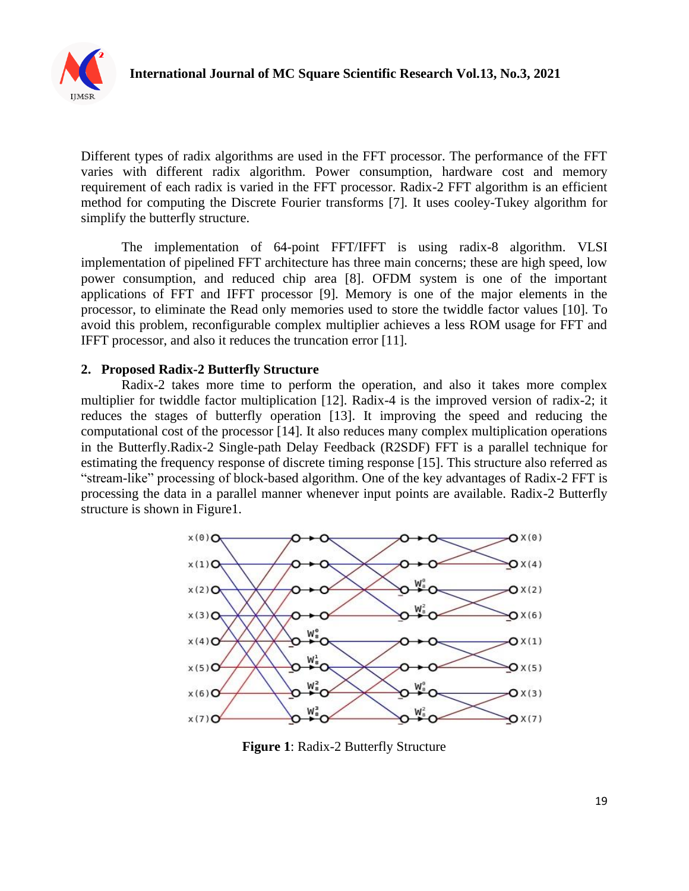

Different types of radix algorithms are used in the FFT processor. The performance of the FFT varies with different radix algorithm. Power consumption, hardware cost and memory requirement of each radix is varied in the FFT processor. Radix-2 FFT algorithm is an efficient method for computing the Discrete Fourier transforms [7]. It uses cooley-Tukey algorithm for simplify the butterfly structure.

The implementation of 64-point FFT/IFFT is using radix-8 algorithm. VLSI implementation of pipelined FFT architecture has three main concerns; these are high speed, low power consumption, and reduced chip area [8]. OFDM system is one of the important applications of FFT and IFFT processor [9]. Memory is one of the major elements in the processor, to eliminate the Read only memories used to store the twiddle factor values [10]. To avoid this problem, reconfigurable complex multiplier achieves a less ROM usage for FFT and IFFT processor, and also it reduces the truncation error [11].

#### **2. Proposed Radix-2 Butterfly Structure**

Radix-2 takes more time to perform the operation, and also it takes more complex multiplier for twiddle factor multiplication [12]. Radix-4 is the improved version of radix-2; it reduces the stages of butterfly operation [13]. It improving the speed and reducing the computational cost of the processor [14]. It also reduces many complex multiplication operations in the Butterfly.Radix-2 Single-path Delay Feedback (R2SDF) FFT is a parallel technique for estimating the frequency response of discrete timing response [15]. This structure also referred as "stream-like" processing of block-based algorithm. One of the key advantages of Radix-2 FFT is processing the data in a parallel manner whenever input points are available. Radix-2 Butterfly structure is shown in Figure1.



**Figure 1**: Radix-2 Butterfly Structure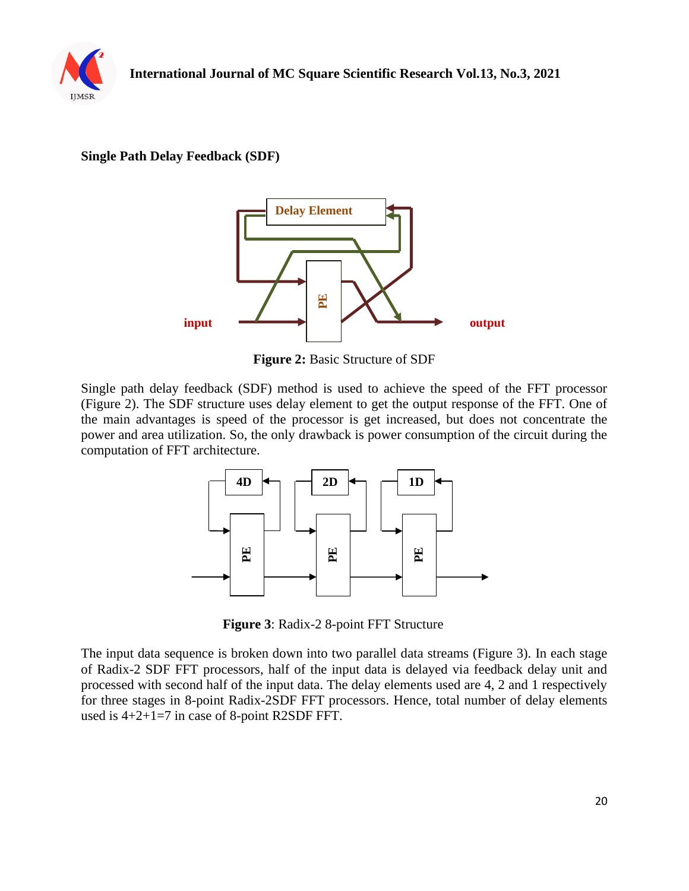

### **Single Path Delay Feedback (SDF)**



**Figure 2:** Basic Structure of SDF

Single path delay feedback (SDF) method is used to achieve the speed of the FFT processor (Figure 2). The SDF structure uses delay element to get the output response of the FFT. One of the main advantages is speed of the processor is get increased, but does not concentrate the power and area utilization. So, the only drawback is power consumption of the circuit during the computation of FFT architecture.



**Figure 3**: Radix-2 8-point FFT Structure

The input data sequence is broken down into two parallel data streams (Figure 3). In each stage of Radix-2 SDF FFT processors, half of the input data is delayed via feedback delay unit and processed with second half of the input data. The delay elements used are 4, 2 and 1 respectively for three stages in 8-point Radix-2SDF FFT processors. Hence, total number of delay elements used is 4+2+1=7 in case of 8-point R2SDF FFT.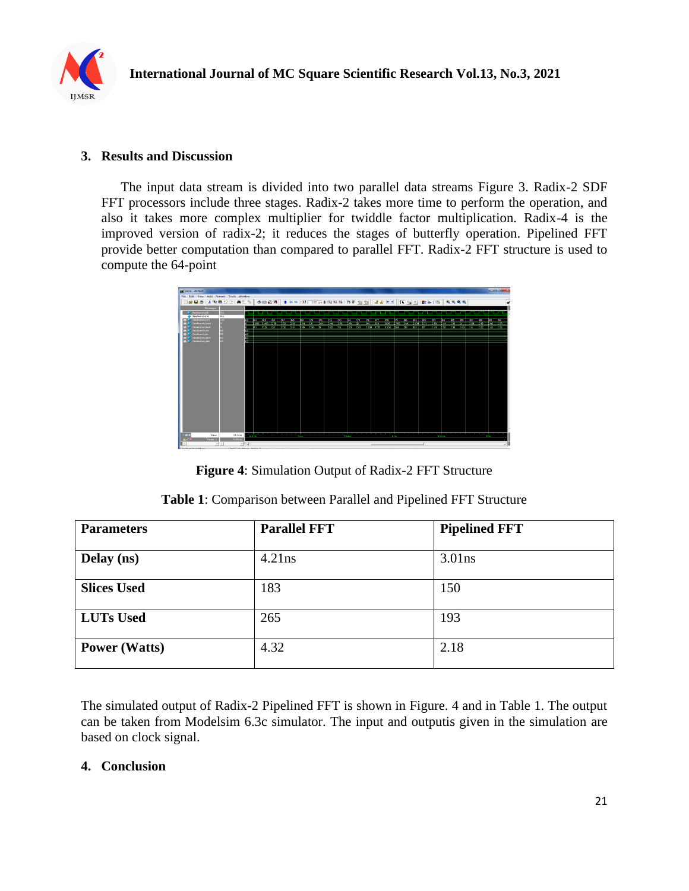

### **3. Results and Discussion**

The input data stream is divided into two parallel data streams Figure 3. Radix-2 SDF FFT processors include three stages. Radix-2 takes more time to perform the operation, and also it takes more complex multiplier for twiddle factor multiplication. Radix-4 is the improved version of radix-2; it reduces the stages of butterfly operation. Pipelined FFT provide better computation than compared to parallel FFT. Radix-2 FFT structure is used to compute the 64-point

| ru wave - default                      |                                             |                         |                                |               |  |             |      |      |      |    |  |                                         |        |     |  |                                                                                                                         |      |      |                   |               |                  |             |             |                         |                 | <b>Street, Square, Square, Square, Square, Square, Square, Square, Square, Square, Square, Square, Square, Square, Square, Square, Square, Square, Square, Square, Square, Square, Square, Square, Square, Square, Square, Squar</b> |
|----------------------------------------|---------------------------------------------|-------------------------|--------------------------------|---------------|--|-------------|------|------|------|----|--|-----------------------------------------|--------|-----|--|-------------------------------------------------------------------------------------------------------------------------|------|------|-------------------|---------------|------------------|-------------|-------------|-------------------------|-----------------|--------------------------------------------------------------------------------------------------------------------------------------------------------------------------------------------------------------------------------------|
| File Edit View Add Format Tools Window |                                             |                         |                                |               |  |             |      |      |      |    |  |                                         |        |     |  |                                                                                                                         |      |      |                   |               |                  |             |             |                         |                 |                                                                                                                                                                                                                                      |
|                                        |                                             | DGB5   X @ @ 22   A & 5 |                                |               |  |             |      |      |      |    |  |                                         |        |     |  | 中国超级  十十十四  100mg出现的  300   300    出生下孔  广西国  欧洲  (第100   6)                                                            |      |      |                   |               |                  |             |             |                         |                 | ¥                                                                                                                                                                                                                                    |
|                                        |                                             | Messages                |                                |               |  |             |      |      |      |    |  |                                         |        |     |  |                                                                                                                         |      |      |                   |               |                  |             |             |                         |                 |                                                                                                                                                                                                                                      |
|                                        | <b>W</b> /testbench/ck                      | 511                     |                                |               |  |             |      |      |      |    |  |                                         |        | - 1 |  |                                                                                                                         |      |      |                   |               |                  | --          |             |                         |                 |                                                                                                                                                                                                                                      |
|                                        | <b>bestbench/rst</b>                        | St1                     |                                |               |  |             |      |      |      |    |  |                                         |        |     |  |                                                                                                                         |      |      |                   |               |                  |             |             |                         |                 |                                                                                                                                                                                                                                      |
|                                        | <b>D-4</b> /testbench/ont<br>testbench/rout | $131 -$                 | <b>IST</b>                     |               |  | <b>1975</b> | an z | - 33 | - 67 | ाल |  | $D1 = 67$ $D3 = 74$ $65$ $D6 = 67$ $D7$ |        |     |  | a no tai any kaominina mpikambana amin'ny fivondronan'i Normandie, ao amin'ny fivondronan-kaominin'i Normandie          | नाम  | - 55 | <b>STATISTICS</b> | <b>SIGNER</b> | कर               | <b>Sec.</b> | <b>Sec.</b> | and was adventured that |                 | 200                                                                                                                                                                                                                                  |
| o.                                     | /testbench/cut                              |                         |                                |               |  |             |      |      |      |    |  |                                         |        |     |  | des has tre l⊁sz res des has to licas has das tes t-usè t-ma t-uso bas tos tes la liz t-us t-as has has has has has has |      |      |                   |               |                  |             |             |                         |                 |                                                                                                                                                                                                                                      |
| $\overline{a}$                         | /testbench/rin                              |                         |                                |               |  |             |      |      |      |    |  |                                         |        |     |  |                                                                                                                         |      |      |                   |               |                  |             |             |                         |                 |                                                                                                                                                                                                                                      |
| <b>COL</b>                             | <b>Restbench/in</b>                         |                         |                                |               |  |             |      |      |      |    |  |                                         |        |     |  |                                                                                                                         |      |      |                   |               |                  |             |             |                         |                 |                                                                                                                                                                                                                                      |
|                                        | <b>D</b> <sup>4</sup> /testbench/draw       |                         |                                |               |  |             |      |      |      |    |  |                                         |        |     |  |                                                                                                                         |      |      |                   |               |                  |             |             |                         |                 |                                                                                                                                                                                                                                      |
|                                        | D-4 /testbench/din                          | ka.                     | 61                             |               |  |             |      |      |      |    |  |                                         |        |     |  |                                                                                                                         |      |      |                   |               |                  |             |             |                         |                 |                                                                                                                                                                                                                                      |
|                                        |                                             |                         |                                |               |  |             |      |      |      |    |  |                                         |        |     |  |                                                                                                                         |      |      |                   |               |                  |             |             |                         |                 |                                                                                                                                                                                                                                      |
|                                        |                                             |                         |                                |               |  |             |      |      |      |    |  |                                         |        |     |  |                                                                                                                         |      |      |                   |               |                  |             |             |                         |                 |                                                                                                                                                                                                                                      |
|                                        |                                             |                         |                                |               |  |             |      |      |      |    |  |                                         |        |     |  |                                                                                                                         |      |      |                   |               |                  |             |             |                         |                 |                                                                                                                                                                                                                                      |
|                                        |                                             |                         |                                |               |  |             |      |      |      |    |  |                                         |        |     |  |                                                                                                                         |      |      |                   |               |                  |             |             |                         |                 |                                                                                                                                                                                                                                      |
|                                        |                                             |                         |                                |               |  |             |      |      |      |    |  |                                         |        |     |  |                                                                                                                         |      |      |                   |               |                  |             |             |                         |                 |                                                                                                                                                                                                                                      |
|                                        |                                             |                         |                                |               |  |             |      |      |      |    |  |                                         |        |     |  |                                                                                                                         |      |      |                   |               |                  |             |             |                         |                 |                                                                                                                                                                                                                                      |
|                                        |                                             |                         |                                |               |  |             |      |      |      |    |  |                                         |        |     |  |                                                                                                                         |      |      |                   |               |                  |             |             |                         |                 |                                                                                                                                                                                                                                      |
|                                        |                                             |                         |                                |               |  |             |      |      |      |    |  |                                         |        |     |  |                                                                                                                         |      |      |                   |               |                  |             |             |                         |                 |                                                                                                                                                                                                                                      |
|                                        |                                             |                         |                                |               |  |             |      |      |      |    |  |                                         |        |     |  |                                                                                                                         |      |      |                   |               |                  |             |             |                         |                 |                                                                                                                                                                                                                                      |
|                                        |                                             |                         |                                |               |  |             |      |      |      |    |  |                                         |        |     |  |                                                                                                                         |      |      |                   |               |                  |             |             |                         |                 |                                                                                                                                                                                                                                      |
|                                        |                                             |                         |                                |               |  |             |      |      |      |    |  |                                         |        |     |  |                                                                                                                         |      |      |                   |               |                  |             |             |                         |                 |                                                                                                                                                                                                                                      |
|                                        |                                             |                         |                                |               |  |             |      |      |      |    |  |                                         |        |     |  |                                                                                                                         |      |      |                   |               |                  |             |             |                         |                 |                                                                                                                                                                                                                                      |
|                                        |                                             |                         |                                |               |  |             |      |      |      |    |  |                                         |        |     |  |                                                                                                                         |      |      |                   |               |                  |             |             |                         |                 |                                                                                                                                                                                                                                      |
|                                        |                                             |                         |                                |               |  |             |      |      |      |    |  |                                         |        |     |  |                                                                                                                         |      |      |                   |               |                  |             |             |                         |                 |                                                                                                                                                                                                                                      |
|                                        |                                             |                         |                                |               |  |             |      |      |      |    |  |                                         |        |     |  |                                                                                                                         |      |      |                   |               |                  |             |             |                         |                 |                                                                                                                                                                                                                                      |
|                                        |                                             |                         |                                |               |  |             |      |      |      |    |  |                                         |        |     |  |                                                                                                                         |      |      |                   |               |                  |             |             |                         |                 |                                                                                                                                                                                                                                      |
|                                        |                                             |                         |                                |               |  |             |      |      |      |    |  |                                         |        |     |  |                                                                                                                         |      |      |                   |               |                  |             |             |                         |                 |                                                                                                                                                                                                                                      |
|                                        |                                             |                         |                                |               |  |             |      |      |      |    |  |                                         |        |     |  |                                                                                                                         |      |      |                   |               |                  |             |             |                         |                 |                                                                                                                                                                                                                                      |
|                                        |                                             |                         |                                |               |  |             |      |      |      |    |  |                                         |        |     |  |                                                                                                                         |      |      |                   |               |                  |             |             |                         |                 |                                                                                                                                                                                                                                      |
|                                        |                                             |                         |                                |               |  |             |      |      |      |    |  |                                         |        |     |  |                                                                                                                         |      |      |                   |               |                  |             |             |                         |                 |                                                                                                                                                                                                                                      |
|                                        |                                             |                         |                                |               |  |             |      |      |      |    |  |                                         |        |     |  |                                                                                                                         |      |      |                   |               |                  |             |             |                         |                 |                                                                                                                                                                                                                                      |
| . .                                    |                                             | Now                     | 13.2 <sub>ms</sub>             | <b>C.Sinc</b> |  |             |      |      | 7.05 |    |  |                                         | 7.5 ms |     |  |                                                                                                                         | a no |      |                   |               | a.s <sub>m</sub> |             |             |                         | 9 <sub>ns</sub> |                                                                                                                                                                                                                                      |
|                                        |                                             | Cursor 1                | 0.00 ms                        |               |  |             |      |      |      |    |  |                                         |        |     |  |                                                                                                                         |      |      |                   |               |                  |             |             |                         |                 |                                                                                                                                                                                                                                      |
|                                        |                                             | $\rightarrow$           | $ + $                          |               |  |             |      |      |      |    |  |                                         |        |     |  |                                                                                                                         |      |      |                   |               |                  |             |             |                         |                 |                                                                                                                                                                                                                                      |
| $1640$ on to 0.000 m                   |                                             |                         | Blazer 19-990 and Politics St. |               |  |             |      |      |      |    |  |                                         |        |     |  |                                                                                                                         |      |      |                   |               |                  |             |             |                         |                 |                                                                                                                                                                                                                                      |

**Figure 4**: Simulation Output of Radix-2 FFT Structure

| <b>Table 1:</b> Comparison between Parallel and Pipelined FFT Structure |  |  |  |
|-------------------------------------------------------------------------|--|--|--|
|-------------------------------------------------------------------------|--|--|--|

| <b>Parameters</b>    | <b>Parallel FFT</b> | <b>Pipelined FFT</b> |
|----------------------|---------------------|----------------------|
| Delay (ns)           | 4.21ns              | $3.01$ ns            |
| <b>Slices Used</b>   | 183                 | 150                  |
| <b>LUTs Used</b>     | 265                 | 193                  |
| <b>Power</b> (Watts) | 4.32                | 2.18                 |

The simulated output of Radix-2 Pipelined FFT is shown in Figure. 4 and in Table 1. The output can be taken from Modelsim 6.3c simulator. The input and outputis given in the simulation are based on clock signal.

#### **4. Conclusion**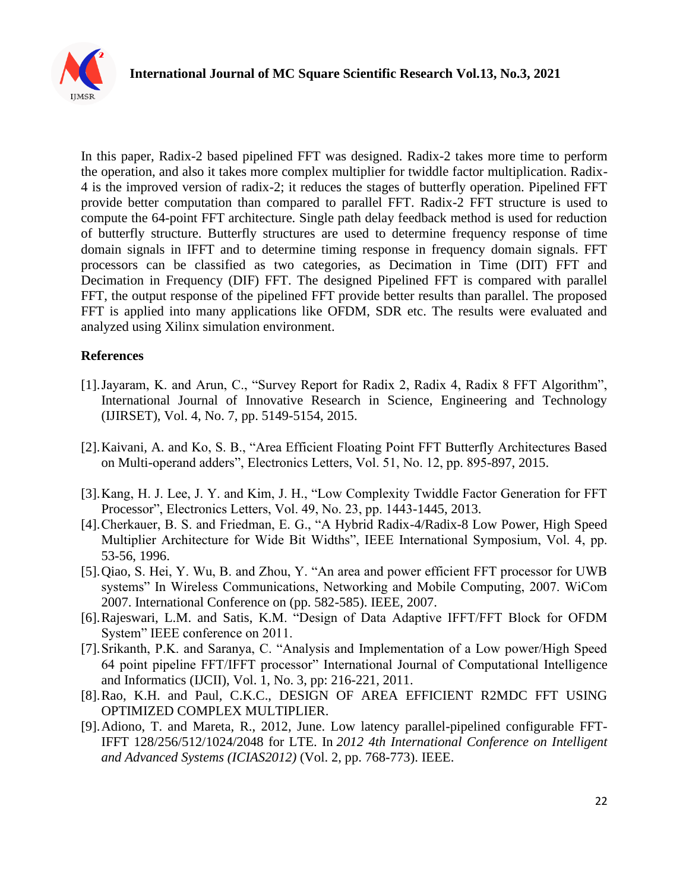

In this paper, Radix-2 based pipelined FFT was designed. Radix-2 takes more time to perform the operation, and also it takes more complex multiplier for twiddle factor multiplication. Radix-4 is the improved version of radix-2; it reduces the stages of butterfly operation. Pipelined FFT provide better computation than compared to parallel FFT. Radix-2 FFT structure is used to compute the 64-point FFT architecture. Single path delay feedback method is used for reduction of butterfly structure. Butterfly structures are used to determine frequency response of time domain signals in IFFT and to determine timing response in frequency domain signals. FFT processors can be classified as two categories, as Decimation in Time (DIT) FFT and Decimation in Frequency (DIF) FFT. The designed Pipelined FFT is compared with parallel FFT, the output response of the pipelined FFT provide better results than parallel. The proposed FFT is applied into many applications like OFDM, SDR etc. The results were evaluated and analyzed using Xilinx simulation environment.

#### **References**

- [1].Jayaram, K. and Arun, C., "Survey Report for Radix 2, Radix 4, Radix 8 FFT Algorithm", International Journal of Innovative Research in Science, Engineering and Technology (IJIRSET), Vol. 4, No. 7, pp. 5149-5154, 2015.
- [2].Kaivani, A. and Ko, S. B., "Area Efficient Floating Point FFT Butterfly Architectures Based on Multi-operand adders", Electronics Letters, Vol. 51, No. 12, pp. 895-897, 2015.
- [3].Kang, H. J. Lee, J. Y. and Kim, J. H., "Low Complexity Twiddle Factor Generation for FFT Processor", Electronics Letters, Vol. 49, No. 23, pp. 1443-1445, 2013.
- [4].Cherkauer, B. S. and Friedman, E. G., "A Hybrid Radix-4/Radix-8 Low Power, High Speed Multiplier Architecture for Wide Bit Widths", IEEE International Symposium, Vol. 4, pp. 53-56, 1996.
- [5].Qiao, S. Hei, Y. Wu, B. and Zhou, Y. "An area and power efficient FFT processor for UWB systems" In Wireless Communications, Networking and Mobile Computing, 2007. WiCom 2007. International Conference on (pp. 582-585). IEEE, 2007.
- [6].Rajeswari, L.M. and Satis, K.M. "Design of Data Adaptive IFFT/FFT Block for OFDM System" IEEE conference on 2011.
- [7].Srikanth, P.K. and Saranya, C. "Analysis and Implementation of a Low power/High Speed 64 point pipeline FFT/IFFT processor" International Journal of Computational Intelligence and Informatics (IJCII), Vol. 1, No. 3, pp: 216-221, 2011.
- [8].Rao, K.H. and Paul, C.K.C., DESIGN OF AREA EFFICIENT R2MDC FFT USING OPTIMIZED COMPLEX MULTIPLIER.
- [9].Adiono, T. and Mareta, R., 2012, June. Low latency parallel-pipelined configurable FFT-IFFT 128/256/512/1024/2048 for LTE. In *2012 4th International Conference on Intelligent and Advanced Systems (ICIAS2012)* (Vol. 2, pp. 768-773). IEEE.